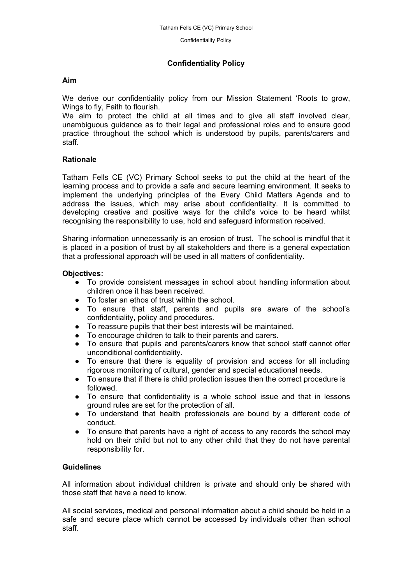Confidentiality Policy

# **Confidentiality Policy**

## **Aim**

We derive our confidentiality policy from our Mission Statement 'Roots to grow, Wings to fly, Faith to flourish.

We aim to protect the child at all times and to give all staff involved clear, unambiguous guidance as to their legal and professional roles and to ensure good practice throughout the school which is understood by pupils, parents/carers and staff.

### **Rationale**

Tatham Fells CE (VC) Primary School seeks to put the child at the heart of the learning process and to provide a safe and secure learning environment. It seeks to implement the underlying principles of the Every Child Matters Agenda and to address the issues, which may arise about confidentiality. It is committed to developing creative and positive ways for the child's voice to be heard whilst recognising the responsibility to use, hold and safeguard information received.

Sharing information unnecessarily is an erosion of trust. The school is mindful that it is placed in a position of trust by all stakeholders and there is a general expectation that a professional approach will be used in all matters of confidentiality.

### **Objectives:**

- To provide consistent messages in school about handling information about children once it has been received.
- To foster an ethos of trust within the school.
- To ensure that staff, parents and pupils are aware of the school's confidentiality, policy and procedures.
- To reassure pupils that their best interests will be maintained.
- To encourage children to talk to their parents and carers.
- To ensure that pupils and parents/carers know that school staff cannot offer unconditional confidentiality.
- To ensure that there is equality of provision and access for all including rigorous monitoring of cultural, gender and special educational needs.
- To ensure that if there is child protection issues then the correct procedure is followed.
- To ensure that confidentiality is a whole school issue and that in lessons ground rules are set for the protection of all.
- To understand that health professionals are bound by a different code of conduct.
- To ensure that parents have a right of access to any records the school may hold on their child but not to any other child that they do not have parental responsibility for.

## **Guidelines**

All information about individual children is private and should only be shared with those staff that have a need to know.

All social services, medical and personal information about a child should be held in a safe and secure place which cannot be accessed by individuals other than school staff.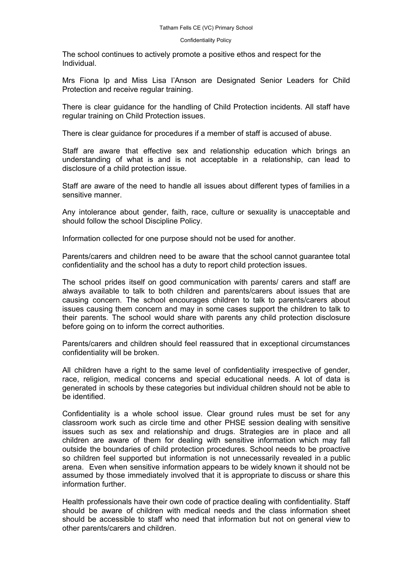#### Confidentiality Policy

The school continues to actively promote a positive ethos and respect for the Individual.

Mrs Fiona Ip and Miss Lisa I'Anson are Designated Senior Leaders for Child Protection and receive regular training.

There is clear guidance for the handling of Child Protection incidents. All staff have regular training on Child Protection issues.

There is clear guidance for procedures if a member of staff is accused of abuse.

Staff are aware that effective sex and relationship education which brings an understanding of what is and is not acceptable in a relationship, can lead to disclosure of a child protection issue.

Staff are aware of the need to handle all issues about different types of families in a sensitive manner.

Any intolerance about gender, faith, race, culture or sexuality is unacceptable and should follow the school Discipline Policy.

Information collected for one purpose should not be used for another.

Parents/carers and children need to be aware that the school cannot guarantee total confidentiality and the school has a duty to report child protection issues.

The school prides itself on good communication with parents/ carers and staff are always available to talk to both children and parents/carers about issues that are causing concern. The school encourages children to talk to parents/carers about issues causing them concern and may in some cases support the children to talk to their parents. The school would share with parents any child protection disclosure before going on to inform the correct authorities.

Parents/carers and children should feel reassured that in exceptional circumstances confidentiality will be broken.

All children have a right to the same level of confidentiality irrespective of gender, race, religion, medical concerns and special educational needs. A lot of data is generated in schools by these categories but individual children should not be able to be identified.

Confidentiality is a whole school issue. Clear ground rules must be set for any classroom work such as circle time and other PHSE session dealing with sensitive issues such as sex and relationship and drugs. Strategies are in place and all children are aware of them for dealing with sensitive information which may fall outside the boundaries of child protection procedures. School needs to be proactive so children feel supported but information is not unnecessarily revealed in a public arena. Even when sensitive information appears to be widely known it should not be assumed by those immediately involved that it is appropriate to discuss or share this information further.

Health professionals have their own code of practice dealing with confidentiality. Staff should be aware of children with medical needs and the class information sheet should be accessible to staff who need that information but not on general view to other parents/carers and children.